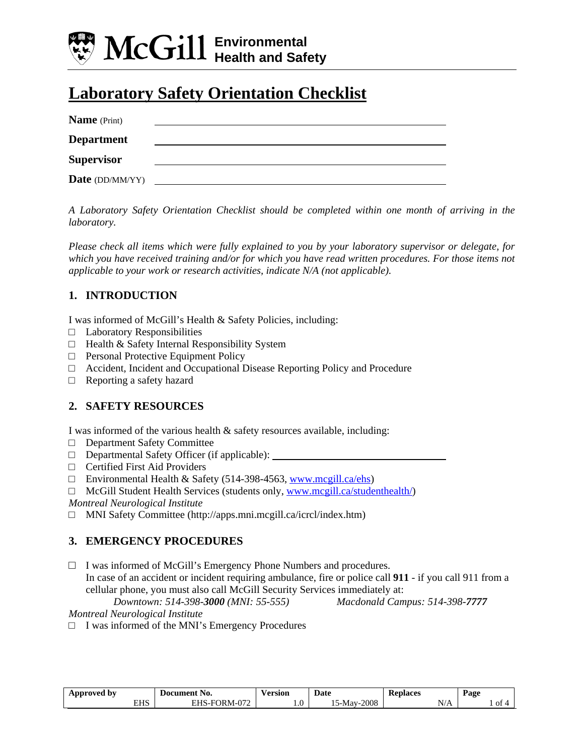

# **Laboratory Safety Orientation Checklist**

| <b>Name</b> (Print)    |  |
|------------------------|--|
| <b>Department</b>      |  |
| <b>Supervisor</b>      |  |
| <b>Date</b> (DD/MM/YY) |  |

*A Laboratory Safety Orientation Checklist should be completed within one month of arriving in the laboratory.* 

*Please check all items which were fully explained to you by your laboratory supervisor or delegate, for which you have received training and/or for which you have read written procedures. For those items not applicable to your work or research activities, indicate N/A (not applicable).* 

## **1. INTRODUCTION**

I was informed of McGill's Health & Safety Policies, including:

- $\Box$  Laboratory Responsibilities
- $\Box$  Health & Safety Internal Responsibility System
- □ Personal Protective Equipment Policy
- □ Accident, Incident and Occupational Disease Reporting Policy and Procedure
- □ Reporting a safety hazard

## **2. SAFETY RESOURCES**

I was informed of the various health & safety resources available, including:

- □ Department Safety Committee
- □ Departmental Safety Officer (if applicable):
- □ Certified First Aid Providers
- □ Environmental Health & Safety (514-398-4563, [www.mcgill.ca/ehs\)](http://www.mcgill.ca/ehs)
- $\Box$  McGill Student Health Services (students only, [www.mcgill.ca/studenthealth/](http://www.mcgill.ca/studenthealth/))
- *Montreal Neurological Institute*
- □ MNI Safety Committee (http://apps.mni.mcgill.ca/icrcl/index.htm)

## **3. EMERGENCY PROCEDURES**

**□** I was informed of McGill's Emergency Phone Numbers and procedures. In case of an accident or incident requiring ambulance, fire or police call **911** - if you call 911 from a cellular phone, you must also call McGill Security Services immediately at:

*Downtown: 514-398-3000 (MNI: 55-555) Macdonald Campus: 514-398-7777*

*Montreal Neurological Institute*

 $\Box$  I was informed of the MNI's Emergency Procedures

| Approved '<br>bv |            | Document<br>N0.                         | ersion | Date<br>.            | Keplaces | Page |
|------------------|------------|-----------------------------------------|--------|----------------------|----------|------|
|                  | <b>EHS</b> | $\sim$<br>7 LI S<br>IR M-0<br>$-1$ $-1$ | 1.U    | 2008<br>.-Mav<br>. J | N/A      | 0İ   |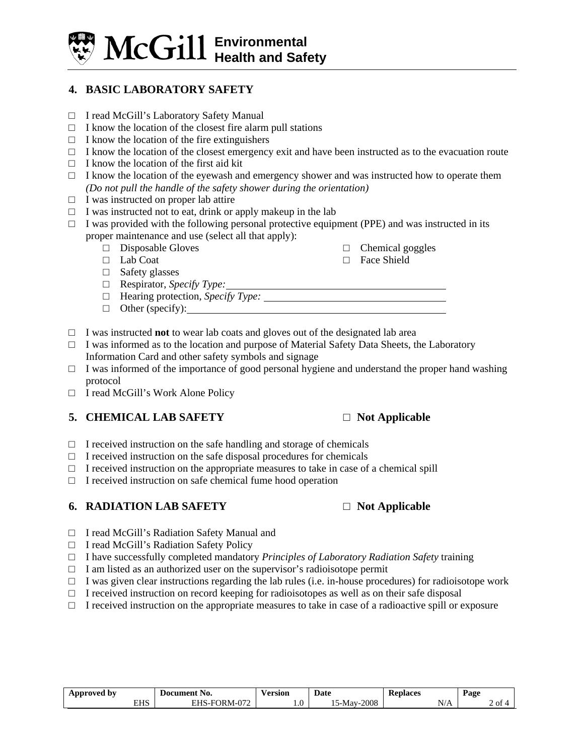

### **4. BASIC LABORATORY SAFETY**

- □ I read McGill's Laboratory Safety Manual
- $\Box$  I know the location of the closest fire alarm pull stations
- $\Box$  I know the location of the fire extinguishers
- $\Box$  I know the location of the closest emergency exit and have been instructed as to the evacuation route
- $\Box$  I know the location of the first aid kit
- $\Box$  I know the location of the eyewash and emergency shower and was instructed how to operate them *(Do not pull the handle of the safety shower during the orientation)*
- □ I was instructed on proper lab attire
- $\Box$  I was instructed not to eat, drink or apply makeup in the lab
- $\Box$  I was provided with the following personal protective equipment (PPE) and was instructed in its proper maintenance and use (select all that apply):
	- □ Disposable Gloves
	- □ Lab Coat
	- □ Safety glasses
	- □ Respirator, *Specify Type:*
	- □ Hearing protection, *Specify Type:*
	- □ Other (specify):
- □ I was instructed **not** to wear lab coats and gloves out of the designated lab area
- □ I was informed as to the location and purpose of Material Safety Data Sheets, the Laboratory Information Card and other safety symbols and signage
- $\Box$  I was informed of the importance of good personal hygiene and understand the proper hand washing protocol
- □ I read McGill's Work Alone Policy

### **5. CHEMICAL LAB SAFETY □ Not Applicable**

- $\Box$  I received instruction on the safe handling and storage of chemicals
- $\Box$  I received instruction on the safe disposal procedures for chemicals
- $\Box$  I received instruction on the appropriate measures to take in case of a chemical spill
- $\Box$  I received instruction on safe chemical fume hood operation

### **6. RADIATION LAB SAFETY □ Not Applicable**

- □ I read McGill's Radiation Safety Manual and
- □ I read McGill's Radiation Safety Policy
- □ I have successfully completed mandatory *Principles of Laboratory Radiation Safety* training
- $\Box$  I am listed as an authorized user on the supervisor's radioisotope permit
- $\Box$  I was given clear instructions regarding the lab rules (i.e. in-house procedures) for radioisotope work
- $\Box$  I received instruction on record keeping for radioisotopes as well as on their safe disposal
- $\Box$  I received instruction on the appropriate measures to take in case of a radioactive spill or exposure

| i nnroved<br>DV<br>AUV |     | Document<br>N0.                  | ′ersıon | Jate          | Keplaces<br>лc                | Page              |
|------------------------|-----|----------------------------------|---------|---------------|-------------------------------|-------------------|
|                        | EHS | $\sim$<br>ъ.<br>ж.<br>' IV/I – I | 1.U     | 2008<br>8-May | $\mathbf{r}$<br>N<br>1 M<br>. | $\sim$<br>ΟĪ<br>- |

- $\Box$  Chemical goggles
- □ Face Shield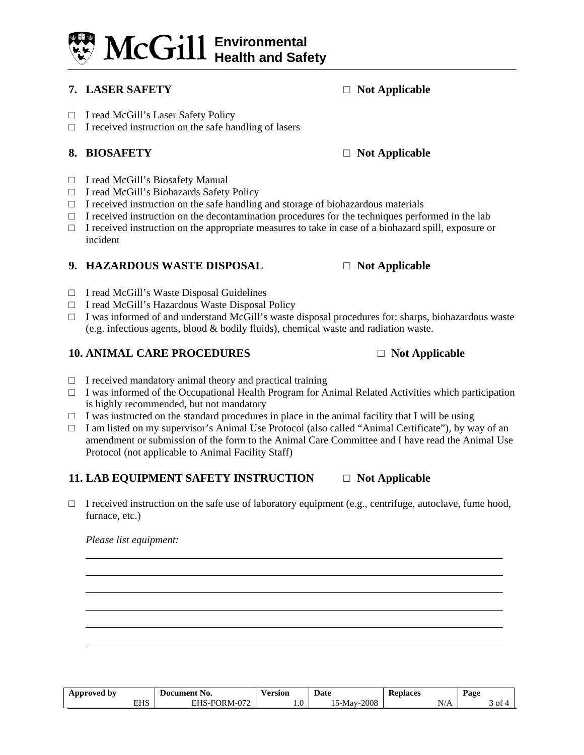# **Environmental Health and Safety**

# **7. LASER SAFETY □ Not Applicable**

- □ I read McGill's Laser Safety Policy
- $\Box$  I received instruction on the safe handling of lasers

- □ I read McGill's Biosafety Manual
- □ I read McGill's Biohazards Safety Policy
- $\Box$  I received instruction on the safe handling and storage of biohazardous materials
- $\Box$  I received instruction on the decontamination procedures for the techniques performed in the lab
- □ I received instruction on the appropriate measures to take in case of a biohazard spill, exposure or incident

### **9. HAZARDOUS WASTE DISPOSAL □ Not Applicable**

- □ I read McGill's Waste Disposal Guidelines
- □ I read McGill's Hazardous Waste Disposal Policy
- □ I was informed of and understand McGill's waste disposal procedures for: sharps, biohazardous waste (e.g. infectious agents, blood & bodily fluids), chemical waste and radiation waste.

### **10. ANIMAL CARE PROCEDURES □ Not Applicable**

- $\Box$  I received mandatory animal theory and practical training
- $\Box$  I was informed of the Occupational Health Program for Animal Related Activities which participation is highly recommended, but not mandatory
- $\Box$  I was instructed on the standard procedures in place in the animal facility that I will be using
- □ I am listed on my supervisor's Animal Use Protocol (also called "Animal Certificate"), by way of an amendment or submission of the form to the Animal Care Committee and I have read the Animal Use Protocol (not applicable to Animal Facility Staff)

## **11. LAB EQUIPMENT SAFETY INSTRUCTION □ Not Applicable**

□ I received instruction on the safe use of laboratory equipment (e.g., centrifuge, autoclave, fume hood, furnace, etc.)

*Please list equipment:* 

| Approved<br>ħ١ |     | Document No.                      | $ -$<br>ersion/ | <b>Date</b>    | <b>Replaces</b> | Page           |
|----------------|-----|-----------------------------------|-----------------|----------------|-----------------|----------------|
|                | EHS | $\sqrt{2}$<br>JR M-0<br>F.H.S.-F( | 1.U             | 2008<br>--May- | N/A             | $\sim$<br>3 of |

# **8. BIOSAFETY □ Not Applicable**